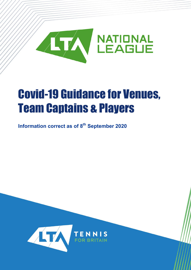

# Covid-19 Guidance for Venues, Team Captains & Players

**Information correct as of 8th September 2020**

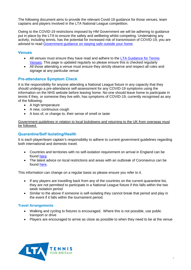The following document aims to provide the relevant Covid-19 guidance for those venues, team captains and players involved in the LTA National League competition.

Owing to the COVID-19 restrictions imposed by HM Government we will be adhering to guidance put in place by the LTA to ensure the safety and wellbeing whilst competing. Undertaking any activity, including tennis, has the potential for increased risk of transmission of COVID-19, you are advised to read [Government guidance on staying safe outside your home.](https://www.gov.uk/government/publications/staying-safe-outside-your-home/staying-safe-outside-your-home)

## **Venues**

- All venues must ensure they have read and adhere to the [LTA Guidance for Tennis](https://www.lta.org.uk/about-us/tennis-news/news-and-opinion/general-news/2020/march/coronavirus-covid-19-advice-for-venues/)  [Venues.](https://www.lta.org.uk/about-us/tennis-news/news-and-opinion/general-news/2020/march/coronavirus-covid-19-advice-for-venues/) This page is updated regularly so please ensure this is checked regularly
- All those attending a venue must ensure they strictly observe and respect all rules and signage at any particular venue

# **Pre-attendance Symptom Check**

It is the responsibility for anyone attending a National League fixture in any capacity that they should undergo a pre-attendance self-assessment for any COVID-19 symptoms using the information on the NHS website before leaving home. No-one should leave home to participate in tennis if they, or someone they live with, has symptoms of COVID-19, currently recognised as any of the following:

- A high temperature
- A new, continuous cough
- A loss of, or change to, their sense of smell or taste

Government guidelines in relation to local lockdowns and returning to the UK from overseas must be followed.

#### **Quarantine/Self Isolating/Health**

It is each player/team captain's responsibility to adhere to current government guidelines regarding both international and domestic travel.

- Countries and territories with no self-isolation requirement on arrival in England can be found [here.](https://www.gov.uk/guidance/coronavirus-covid-19-travel-corridors)
- The latest advice on local restrictions and areas with an outbreak of Coronavirus can be found [here.](https://www.gov.uk/government/collections/local-restrictions-areas-with-an-outbreak-of-coronavirus-covid-19)

This information can change on a regular basis so please ensure you refer to it.

- If any players are travelling back from any of the countries on the current quarantine list, they are not permitted to participate in a National League fixture if this falls within the two week isolation period
- Similar to the above if someone is self-isolating they cannot break that period and play in the event if it falls within the tournament period.

#### **Travel Arrangements**

- Walking and cycling to fixtures is encouraged. Where this is not possible, use public transport or drive
- Players are encouraged to arrive as close as possible to when they need to be at the venue

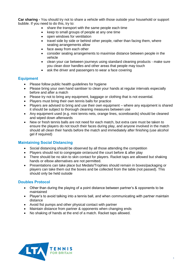**Car sharing -** You should try not to share a vehicle with those outside your household or support bubble. If you need to do this, try to:

- share the transport with the same people each time
- keep to small groups of people at any one time
- open windows for ventilation
- travel side by side or behind other people, rather than facing them, where seating arrangements allow
- face away from each other
- consider seating arrangements to maximise distance between people in the vehicle
- clean your car between journeys using standard cleaning products make sure you clean door handles and other areas that people may touch
- ask the driver and passengers to wear a face covering

#### **Equipment**

- Please follow public health quidelines for hygiene
- Please bring your own hand sanitiser to clean your hands at regular intervals especially before and after a match
- Please try not to bring any equipment, baggage or clothing that is not essential.
- Players must bring their own tennis balls for practice
- Players are advised to bring and use their own equipment where any equipment is shared it should be subject to thorough cleaning measures between use
- Any equipment used (e.g. mini tennis nets, orange lines, scoreboards) should be cleaned and wiped down afterwards
- New or fresh tennis balls are not need for each match, but extra care must be taken to ensure the players do not touch their faces during play, and anyone involved in the match should all clean their hands before the match and immediately after finishing (use alcohol gel if required)

#### **Maintaining Social Distancing**

- Social distancing should be observed by all those attending the competition
- Players should not to congregate on/around the court before & after play
- There should be no skin to skin contact for players. Racket taps are allowed but shaking hands or elbow alternatives are not permitted.
- Presentations can take place but Medals/Trophies should remain in boxes/packaging or players can take them out the boxes and be collected from the table (not passed). This should only be held outside

#### **Doubles Protocol**

- Other than during the playing of a point distance between partner's & opponents to be maintained
- Player's to avoid talking into a tennis ball, and when communicating with partner maintain distance
- Avoid fist pumps and other physical contact with partner
- Maintain distance from partner & opponents when changing ends
- No shaking of hands at the end of a match. Racket taps allowed.